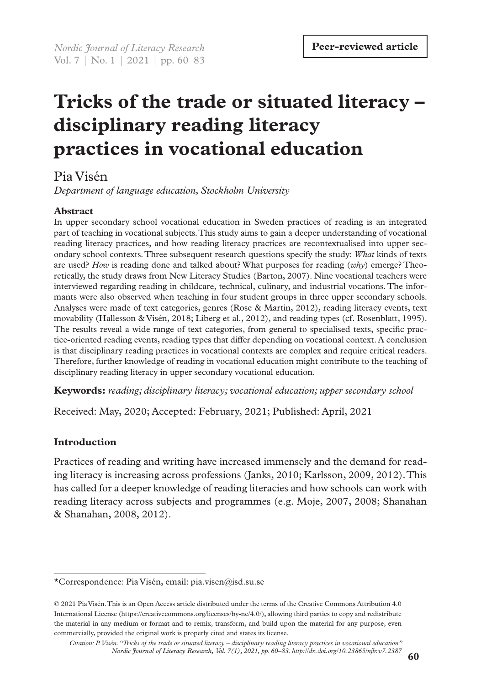# **Tricks of the trade or situated literacy – disciplinary reading literacy practices in vocational education**

# Pia Visén

*Department of language education, Stockholm University*

# **Abstract**

In upper secondary school vocational education in Sweden practices of reading is an integrated part of teaching in vocational subjects. This study aims to gain a deeper understanding of vocational reading literacy practices, and how reading literacy practices are recontextualised into upper secondary school contexts. Three subsequent research questions specify the study: *What* kinds of texts are used? *How* is reading done and talked about? What purposes for reading (*why*) emerge? Theoretically, the study draws from New Literacy Studies (Barton, 2007). Nine vocational teachers were interviewed regarding reading in childcare, technical, culinary, and industrial vocations. The informants were also observed when teaching in four student groups in three upper secondary schools. Analyses were made of text categories, genres (Rose & Martin, 2012), reading literacy events, text movability (Hallesson & Visén, 2018; Liberg et al., 2012), and reading types (cf. Rosenblatt, 1995). The results reveal a wide range of text categories, from general to specialised texts, specific practice-oriented reading events, reading types that differ depending on vocational context. A conclusion is that disciplinary reading practices in vocational contexts are complex and require critical readers. Therefore, further knowledge of reading in vocational education might contribute to the teaching of disciplinary reading literacy in upper secondary vocational education.

**Keywords:** *reading; disciplinary literacy; vocational education; upper secondary school* 

Received: May, 2020; Accepted: February, 2021; Published: April, 2021

# **Introduction**

Practices of reading and writing have increased immensely and the demand for reading literacy is increasing across professions (Janks, 2010; Karlsson, 2009, 2012). This has called for a deeper knowledge of reading literacies and how schools can work with reading literacy across subjects and programmes (e.g. Moje, 2007, 2008; Shanahan & Shanahan, 2008, 2012).

<sup>\*</sup>Correspondence: Pia Visén, email: pia.visen@isd.su.se

<sup>© 2021</sup> Pia Visén. This is an Open Access article distributed under the terms of the Creative Commons Attribution 4.0 International License (https://creativecommons.org/licenses/by-nc/4.0/), allowing third parties to copy and redistribute the material in any medium or format and to remix, transform, and build upon the material for any purpose, even commercially, provided the original work is properly cited and states its license.

*Citation: P. Visén. "Tricks of the trade or situated literacy – disciplinary reading literacy practices in vocational education" Nordic Journal of Literacy Research, Vol. 7(1), 2021, pp. 60–83. http://dx.doi.org/10.23865/njlr.v7.2387*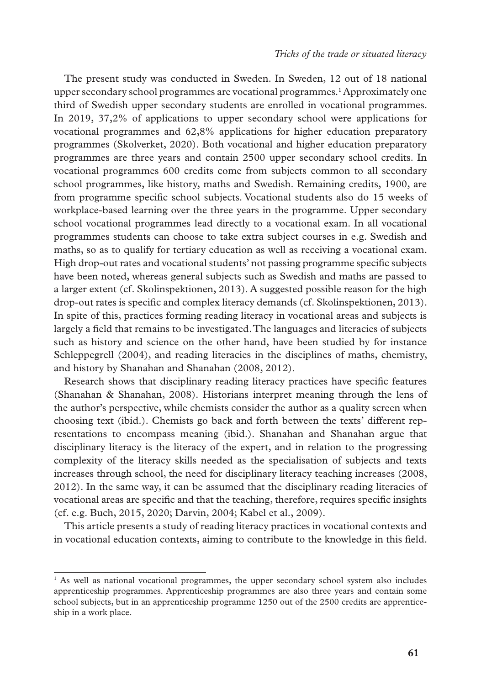The present study was conducted in Sweden. In Sweden, 12 out of 18 national upper secondary school programmes are vocational programmes.1 Approximately one third of Swedish upper secondary students are enrolled in vocational programmes. In 2019, 37,2% of applications to upper secondary school were applications for vocational programmes and 62,8% applications for higher education preparatory programmes (Skolverket, 2020). Both vocational and higher education preparatory programmes are three years and contain 2500 upper secondary school credits. In vocational programmes 600 credits come from subjects common to all secondary school programmes, like history, maths and Swedish. Remaining credits, 1900, are from programme specific school subjects. Vocational students also do 15 weeks of workplace-based learning over the three years in the programme. Upper secondary school vocational programmes lead directly to a vocational exam. In all vocational programmes students can choose to take extra subject courses in e.g. Swedish and maths, so as to qualify for tertiary education as well as receiving a vocational exam. High drop-out rates and vocational students' not passing programme specific subjects have been noted, whereas general subjects such as Swedish and maths are passed to a larger extent (cf. Skolinspektionen, 2013). A suggested possible reason for the high drop-out rates is specific and complex literacy demands (cf. Skolinspektionen, 2013). In spite of this, practices forming reading literacy in vocational areas and subjects is largely a field that remains to be investigated. The languages and literacies of subjects such as history and science on the other hand, have been studied by for instance Schleppegrell (2004), and reading literacies in the disciplines of maths, chemistry, and history by Shanahan and Shanahan (2008, 2012).

Research shows that disciplinary reading literacy practices have specific features (Shanahan & Shanahan, 2008). Historians interpret meaning through the lens of the author's perspective, while chemists consider the author as a quality screen when choosing text (ibid.). Chemists go back and forth between the texts' different representations to encompass meaning (ibid.). Shanahan and Shanahan argue that disciplinary literacy is the literacy of the expert, and in relation to the progressing complexity of the literacy skills needed as the specialisation of subjects and texts increases through school, the need for disciplinary literacy teaching increases (2008, 2012). In the same way, it can be assumed that the disciplinary reading literacies of vocational areas are specific and that the teaching, therefore, requires specific insights (cf. e.g. Buch, 2015, 2020; Darvin, 2004; Kabel et al., 2009).

This article presents a study of reading literacy practices in vocational contexts and in vocational education contexts, aiming to contribute to the knowledge in this field.

<sup>&</sup>lt;sup>1</sup> As well as national vocational programmes, the upper secondary school system also includes apprenticeship programmes. Apprenticeship programmes are also three years and contain some school subjects, but in an apprenticeship programme 1250 out of the 2500 credits are apprenticeship in a work place.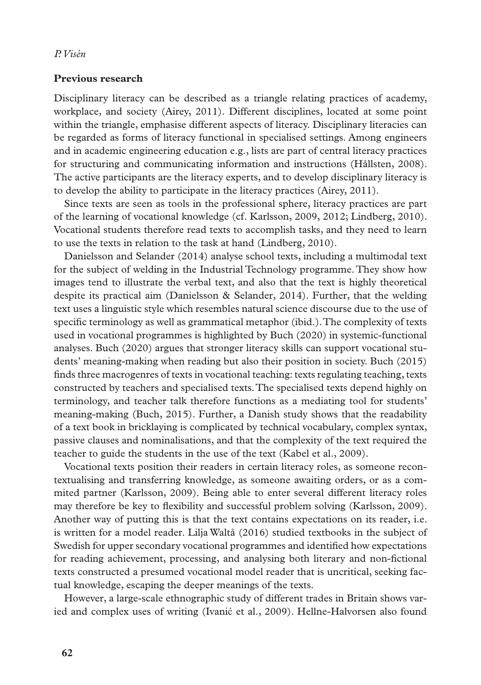### **Previous research**

Disciplinary literacy can be described as a triangle relating practices of academy, workplace, and society (Airey, 2011). Different disciplines, located at some point within the triangle, emphasise different aspects of literacy. Disciplinary literacies can be regarded as forms of literacy functional in specialised settings. Among engineers and in academic engineering education e.g., lists are part of central literacy practices for structuring and communicating information and instructions (Hållsten, 2008). The active participants are the literacy experts, and to develop disciplinary literacy is to develop the ability to participate in the literacy practices (Airey, 2011).

Since texts are seen as tools in the professional sphere, literacy practices are part of the learning of vocational knowledge (cf. Karlsson, 2009, 2012; Lindberg, 2010). Vocational students therefore read texts to accomplish tasks, and they need to learn to use the texts in relation to the task at hand (Lindberg, 2010).

Danielsson and Selander (2014) analyse school texts, including a multimodal text for the subject of welding in the Industrial Technology programme. They show how images tend to illustrate the verbal text, and also that the text is highly theoretical despite its practical aim (Danielsson & Selander, 2014). Further, that the welding text uses a linguistic style which resembles natural science discourse due to the use of specific terminology as well as grammatical metaphor (ibid.). The complexity of texts used in vocational programmes is highlighted by Buch (2020) in systemic-functional analyses. Buch (2020) argues that stronger literacy skills can support vocational students' meaning-making when reading but also their position in society. Buch (2015) finds three macrogenres of texts in vocational teaching: texts regulating teaching, texts constructed by teachers and specialised texts. The specialised texts depend highly on terminology, and teacher talk therefore functions as a mediating tool for students' meaning-making (Buch, 2015). Further, a Danish study shows that the readability of a text book in bricklaying is complicated by technical vocabulary, complex syntax, passive clauses and nominalisations, and that the complexity of the text required the teacher to guide the students in the use of the text (Kabel et al., 2009).

Vocational texts position their readers in certain literacy roles, as someone recontextualising and transferring knowledge, as someone awaiting orders, or as a commited partner (Karlsson, 2009). Being able to enter several different literacy roles may therefore be key to flexibility and successful problem solving (Karlsson, 2009). Another way of putting this is that the text contains expectations on its reader, i.e. is written for a model reader. Lilja Waltå (2016) studied textbooks in the subject of Swedish for upper secondary vocational programmes and identified how expectations for reading achievement, processing, and analysing both literary and non-fictional texts constructed a presumed vocational model reader that is uncritical, seeking factual knowledge, escaping the deeper meanings of the texts.

However, a large-scale ethnographic study of different trades in Britain shows varied and complex uses of writing (Ivanić et al., 2009). Hellne-Halvorsen also found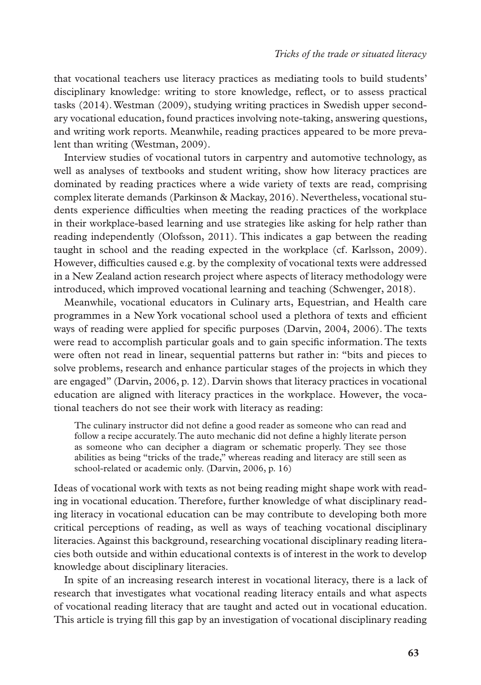that vocational teachers use literacy practices as mediating tools to build students' disciplinary knowledge: writing to store knowledge, reflect, or to assess practical tasks (2014). Westman (2009), studying writing practices in Swedish upper secondary vocational education, found practices involving note-taking, answering questions, and writing work reports. Meanwhile, reading practices appeared to be more prevalent than writing (Westman, 2009).

Interview studies of vocational tutors in carpentry and automotive technology, as well as analyses of textbooks and student writing, show how literacy practices are dominated by reading practices where a wide variety of texts are read, comprising complex literate demands (Parkinson & Mackay, 2016). Nevertheless, vocational students experience difficulties when meeting the reading practices of the workplace in their workplace-based learning and use strategies like asking for help rather than reading independently (Olofsson, 2011). This indicates a gap between the reading taught in school and the reading expected in the workplace (cf. Karlsson, 2009). However, difficulties caused e.g. by the complexity of vocational texts were addressed in a New Zealand action research project where aspects of literacy methodology were introduced, which improved vocational learning and teaching (Schwenger, 2018).

Meanwhile, vocational educators in Culinary arts, Equestrian, and Health care programmes in a New York vocational school used a plethora of texts and efficient ways of reading were applied for specific purposes (Darvin, 2004, 2006). The texts were read to accomplish particular goals and to gain specific information. The texts were often not read in linear, sequential patterns but rather in: "bits and pieces to solve problems, research and enhance particular stages of the projects in which they are engaged" (Darvin, 2006, p. 12). Darvin shows that literacy practices in vocational education are aligned with literacy practices in the workplace. However, the vocational teachers do not see their work with literacy as reading:

The culinary instructor did not define a good reader as someone who can read and follow a recipe accurately. The auto mechanic did not define a highly literate person as someone who can decipher a diagram or schematic properly. They see those abilities as being "tricks of the trade," whereas reading and literacy are still seen as school-related or academic only. (Darvin, 2006, p. 16)

Ideas of vocational work with texts as not being reading might shape work with reading in vocational education. Therefore, further knowledge of what disciplinary reading literacy in vocational education can be may contribute to developing both more critical perceptions of reading, as well as ways of teaching vocational disciplinary literacies. Against this background, researching vocational disciplinary reading literacies both outside and within educational contexts is of interest in the work to develop knowledge about disciplinary literacies.

In spite of an increasing research interest in vocational literacy, there is a lack of research that investigates what vocational reading literacy entails and what aspects of vocational reading literacy that are taught and acted out in vocational education. This article is trying fill this gap by an investigation of vocational disciplinary reading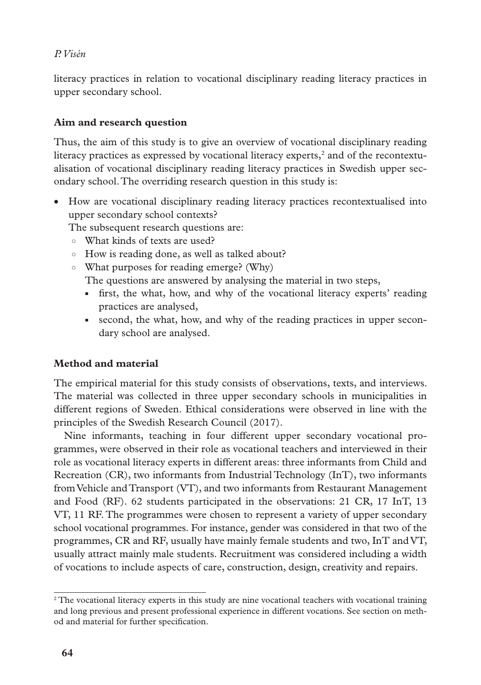literacy practices in relation to vocational disciplinary reading literacy practices in upper secondary school.

# **Aim and research question**

Thus, the aim of this study is to give an overview of vocational disciplinary reading literacy practices as expressed by vocational literacy experts, $^2$  and of the recontextualisation of vocational disciplinary reading literacy practices in Swedish upper secondary school. The overriding research question in this study is:

• How are vocational disciplinary reading literacy practices recontextualised into upper secondary school contexts?

The subsequent research questions are:

- What kinds of texts are used?
- How is reading done, as well as talked about?
- What purposes for reading emerge? (Why)

The questions are answered by analysing the material in two steps,

- first, the what, how, and why of the vocational literacy experts' reading practices are analysed,
- second, the what, how, and why of the reading practices in upper secondary school are analysed.

# **Method and material**

The empirical material for this study consists of observations, texts, and interviews. The material was collected in three upper secondary schools in municipalities in different regions of Sweden. Ethical considerations were observed in line with the principles of the Swedish Research Council (2017).

Nine informants, teaching in four different upper secondary vocational programmes, were observed in their role as vocational teachers and interviewed in their role as vocational literacy experts in different areas: three informants from Child and Recreation (CR), two informants from Industrial Technology (InT), two informants from Vehicle and Transport (VT), and two informants from Restaurant Management and Food (RF). 62 students participated in the observations: 21 CR, 17 InT, 13 VT, 11 RF. The programmes were chosen to represent a variety of upper secondary school vocational programmes. For instance, gender was considered in that two of the programmes, CR and RF, usually have mainly female students and two, InT and VT, usually attract mainly male students. Recruitment was considered including a width of vocations to include aspects of care, construction, design, creativity and repairs.

<sup>&</sup>lt;sup>2</sup> The vocational literacy experts in this study are nine vocational teachers with vocational training and long previous and present professional experience in different vocations. See section on method and material for further specification.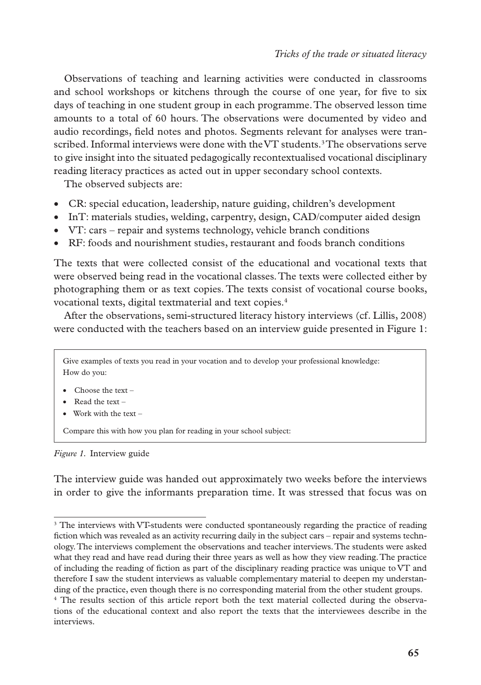Observations of teaching and learning activities were conducted in classrooms and school workshops or kitchens through the course of one year, for five to six days of teaching in one student group in each programme. The observed lesson time amounts to a total of 60 hours. The observations were documented by video and audio recordings, field notes and photos. Segments relevant for analyses were transcribed. Informal interviews were done with the VT students.<sup>3</sup> The observations serve to give insight into the situated pedagogically recontextualised vocational disciplinary reading literacy practices as acted out in upper secondary school contexts.

The observed subjects are:

- CR: special education, leadership, nature guiding, children's development
- InT: materials studies, welding, carpentry, design, CAD/computer aided design
- VT: cars repair and systems technology, vehicle branch conditions
- RF: foods and nourishment studies, restaurant and foods branch conditions

The texts that were collected consist of the educational and vocational texts that were observed being read in the vocational classes. The texts were collected either by photographing them or as text copies. The texts consist of vocational course books, vocational texts, digital textmaterial and text copies.4

After the observations, semi-structured literacy history interviews (cf. Lillis, 2008) were conducted with the teachers based on an interview guide presented in Figure 1:

Give examples of texts you read in your vocation and to develop your professional knowledge: How do you:

- Choose the text –
- Read the text –
- Work with the text –

Compare this with how you plan for reading in your school subject:

*Figure 1.* Interview guide

The interview guide was handed out approximately two weeks before the interviews in order to give the informants preparation time. It was stressed that focus was on

<sup>&</sup>lt;sup>3</sup> The interviews with VT-students were conducted spontaneously regarding the practice of reading fiction which was revealed as an activity recurring daily in the subject cars – repair and systems technology. The interviews complement the observations and teacher interviews. The students were asked what they read and have read during their three years as well as how they view reading. The practice of including the reading of fiction as part of the disciplinary reading practice was unique to VT and therefore I saw the student interviews as valuable complementary material to deepen my understanding of the practice, even though there is no corresponding material from the other student groups.

<sup>&</sup>lt;sup>4</sup> The results section of this article report both the text material collected during the observations of the educational context and also report the texts that the interviewees describe in the interviews.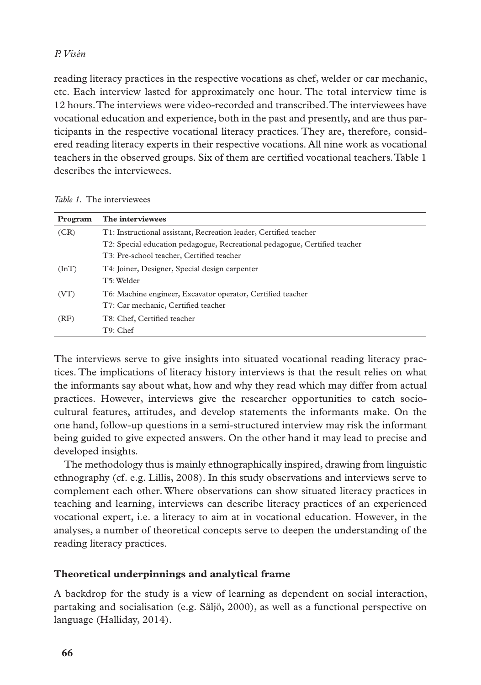reading literacy practices in the respective vocations as chef, welder or car mechanic, etc. Each interview lasted for approximately one hour. The total interview time is 12 hours. The interviews were video-recorded and transcribed. The interviewees have vocational education and experience, both in the past and presently, and are thus participants in the respective vocational literacy practices. They are, therefore, considered reading literacy experts in their respective vocations. All nine work as vocational teachers in the observed groups. Six of them are certified vocational teachers. Table 1 describes the interviewees.

| Program   | The interviewees                                                           |
|-----------|----------------------------------------------------------------------------|
| (CR)      | T1: Instructional assistant, Recreation leader, Certified teacher          |
|           | T2: Special education pedagogue, Recreational pedagogue, Certified teacher |
|           | T3: Pre-school teacher, Certified teacher                                  |
| $(\ln T)$ | T4: Joiner, Designer, Special design carpenter                             |
|           | T5: Welder                                                                 |
| (VT)      | T6: Machine engineer, Excavator operator, Certified teacher                |
|           | T7: Car mechanic, Certified teacher                                        |
| (RF)      | T8: Chef, Certified teacher                                                |
|           | T9: Chef                                                                   |

The interviews serve to give insights into situated vocational reading literacy practices. The implications of literacy history interviews is that the result relies on what the informants say about what, how and why they read which may differ from actual practices. However, interviews give the researcher opportunities to catch sociocultural features, attitudes, and develop statements the informants make. On the one hand, follow-up questions in a semi-structured interview may risk the informant being guided to give expected answers. On the other hand it may lead to precise and developed insights.

The methodology thus is mainly ethnographically inspired, drawing from linguistic ethnography (cf. e.g. Lillis, 2008). In this study observations and interviews serve to complement each other. Where observations can show situated literacy practices in teaching and learning, interviews can describe literacy practices of an experienced vocational expert, i.e. a literacy to aim at in vocational education. However, in the analyses, a number of theoretical concepts serve to deepen the understanding of the reading literacy practices.

# **Theoretical underpinnings and analytical frame**

A backdrop for the study is a view of learning as dependent on social interaction, partaking and socialisation (e.g. Säljö, 2000), as well as a functional perspective on language (Halliday, 2014).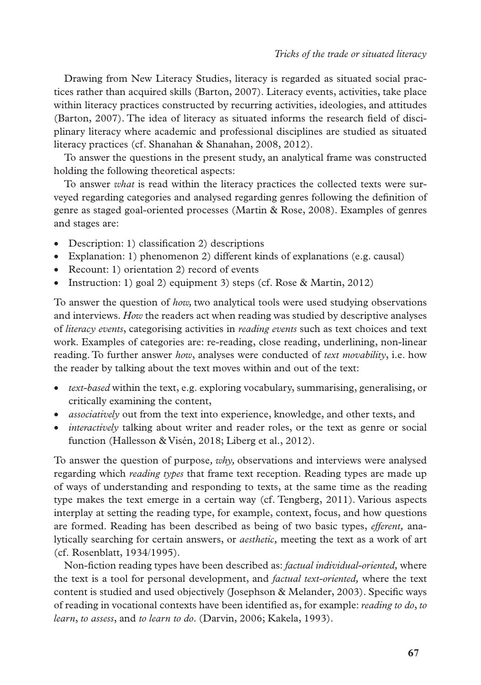Drawing from New Literacy Studies, literacy is regarded as situated social practices rather than acquired skills (Barton, 2007). Literacy events, activities, take place within literacy practices constructed by recurring activities, ideologies, and attitudes (Barton, 2007). The idea of literacy as situated informs the research field of disciplinary literacy where academic and professional disciplines are studied as situated literacy practices (cf. Shanahan & Shanahan, 2008, 2012).

To answer the questions in the present study, an analytical frame was constructed holding the following theoretical aspects:

To answer *what* is read within the literacy practices the collected texts were surveyed regarding categories and analysed regarding genres following the definition of genre as staged goal-oriented processes (Martin & Rose, 2008). Examples of genres and stages are:

- Description: 1) classification 2) descriptions
- Explanation: 1) phenomenon 2) different kinds of explanations (e.g. causal)
- Recount: 1) orientation 2) record of events
- Instruction: 1) goal 2) equipment 3) steps (cf. Rose & Martin, 2012)

To answer the question of *how,* two analytical tools were used studying observations and interviews. *How* the readers act when reading was studied by descriptive analyses of *literacy events*, categorising activities in *reading events* such as text choices and text work. Examples of categories are: re-reading, close reading, underlining, non-linear reading. To further answer *how*, analyses were conducted of *text movability*, i.e. how the reader by talking about the text moves within and out of the text:

- *text-based* within the text, e.g. exploring vocabulary, summarising, generalising, or critically examining the content,
- *associatively* out from the text into experience, knowledge, and other texts, and
- *interactively* talking about writer and reader roles, or the text as genre or social function (Hallesson & Visén, 2018; Liberg et al., 2012).

To answer the question of purpose*, why,* observations and interviews were analysed regarding which *reading types* that frame text reception. Reading types are made up of ways of understanding and responding to texts, at the same time as the reading type makes the text emerge in a certain way (cf. Tengberg, 2011). Various aspects interplay at setting the reading type, for example, context, focus, and how questions are formed. Reading has been described as being of two basic types, *efferent,* analytically searching for certain answers, or *aesthetic,* meeting the text as a work of art (cf. Rosenblatt, 1934/1995).

Non-fiction reading types have been described as: *factual individual-oriented,* where the text is a tool for personal development, and *factual text-oriented,* where the text content is studied and used objectively (Josephson & Melander, 2003). Specific ways of reading in vocational contexts have been identified as, for example: *reading to do*, *to learn*, *to assess*, and *to learn to do*. (Darvin, 2006; Kakela, 1993).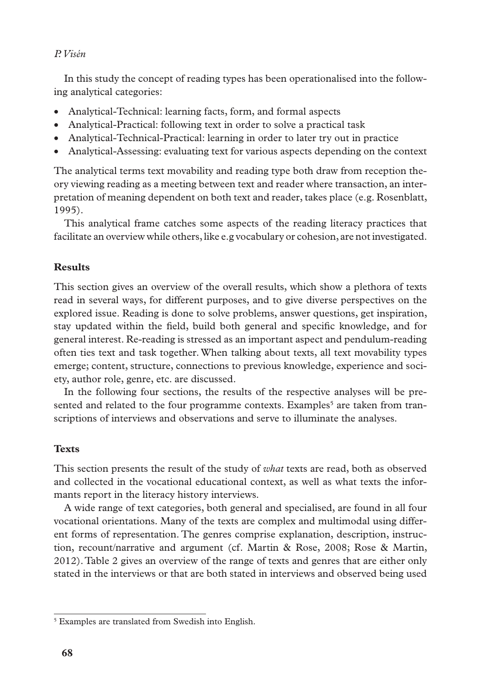In this study the concept of reading types has been operationalised into the following analytical categories:

- Analytical-Technical: learning facts, form, and formal aspects
- Analytical-Practical: following text in order to solve a practical task
- Analytical-Technical-Practical: learning in order to later try out in practice
- Analytical-Assessing: evaluating text for various aspects depending on the context

The analytical terms text movability and reading type both draw from reception theory viewing reading as a meeting between text and reader where transaction, an interpretation of meaning dependent on both text and reader, takes place (e.g. Rosenblatt, 1995).

This analytical frame catches some aspects of the reading literacy practices that facilitate an overview while others, like e.g vocabulary or cohesion, are not investigated.

## **Results**

This section gives an overview of the overall results, which show a plethora of texts read in several ways, for different purposes, and to give diverse perspectives on the explored issue. Reading is done to solve problems, answer questions, get inspiration, stay updated within the field, build both general and specific knowledge, and for general interest. Re-reading is stressed as an important aspect and pendulum-reading often ties text and task together. When talking about texts, all text movability types emerge; content, structure, connections to previous knowledge, experience and society, author role, genre, etc. are discussed.

In the following four sections, the results of the respective analyses will be presented and related to the four programme contexts. Examples<sup>5</sup> are taken from transcriptions of interviews and observations and serve to illuminate the analyses.

## **Texts**

This section presents the result of the study of *what* texts are read, both as observed and collected in the vocational educational context, as well as what texts the informants report in the literacy history interviews.

A wide range of text categories, both general and specialised, are found in all four vocational orientations. Many of the texts are complex and multimodal using different forms of representation. The genres comprise explanation, description, instruction, recount/narrative and argument (cf. Martin & Rose, 2008; Rose & Martin, 2012). Table 2 gives an overview of the range of texts and genres that are either only stated in the interviews or that are both stated in interviews and observed being used

<sup>5</sup> Examples are translated from Swedish into English.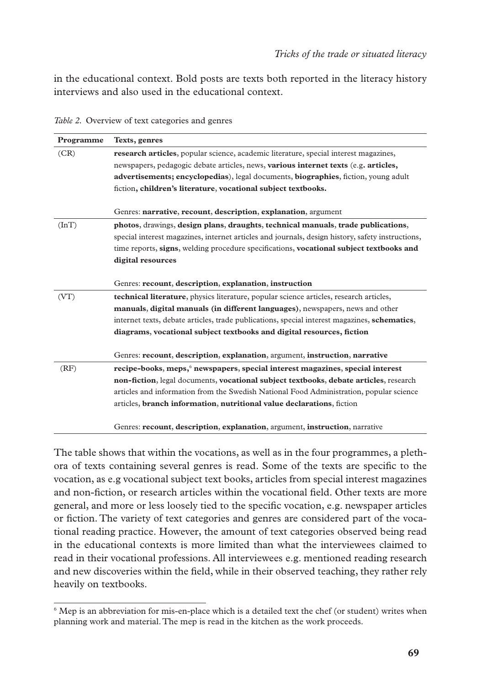in the educational context. Bold posts are texts both reported in the literacy history interviews and also used in the educational context.

| Programme | Texts, genres                                                                                      |
|-----------|----------------------------------------------------------------------------------------------------|
| (CR)      | <b>research articles</b> , popular science, academic literature, special interest magazines,       |
|           | newspapers, pedagogic debate articles, news, various internet texts (e.g. articles,                |
|           | <b>advertisements; encyclopedias</b> ), legal documents, <b>biographies</b> , fiction, young adult |
|           | fiction, children's literature, vocational subject textbooks.                                      |
|           |                                                                                                    |
|           | Genres: narrative, recount, description, explanation, argument                                     |
| $(\ln T)$ | photos, drawings, design plans, draughts, technical manuals, trade publications,                   |
|           | special interest magazines, internet articles and journals, design history, safety instructions,   |
|           | time reports, signs, welding procedure specifications, vocational subject textbooks and            |
|           | digital resources                                                                                  |
|           |                                                                                                    |
|           | Genres: recount, description, explanation, instruction                                             |
| (VT)      | technical literature, physics literature, popular science articles, research articles,             |
|           | manuals, digital manuals (in different languages), newspapers, news and other                      |
|           | internet texts, debate articles, trade publications, special interest magazines, schematics,       |
|           | diagrams, vocational subject textbooks and digital resources, fiction                              |
|           |                                                                                                    |
|           | Genres: recount, description, explanation, argument, instruction, narrative                        |
| (RF)      | recipe-books, meps, newspapers, special interest magazines, special interest                       |
|           | non-fiction, legal documents, vocational subject textbooks, debate articles, research              |
|           | articles and information from the Swedish National Food Administration, popular science            |
|           | articles, <b>branch information</b> , <b>nutritional value declarations</b> , fiction              |
|           |                                                                                                    |
|           | Genres: recount, description, explanation, argument, instruction, narrative                        |

*Table 2.* Overview of text categories and genres

The table shows that within the vocations, as well as in the four programmes, a plethora of texts containing several genres is read. Some of the texts are specific to the vocation, as e.g vocational subject text books, articles from special interest magazines and non-fiction, or research articles within the vocational field. Other texts are more general, and more or less loosely tied to the specific vocation, e.g. newspaper articles or fiction. The variety of text categories and genres are considered part of the vocational reading practice. However, the amount of text categories observed being read in the educational contexts is more limited than what the interviewees claimed to read in their vocational professions. All interviewees e.g. mentioned reading research and new discoveries within the field, while in their observed teaching, they rather rely heavily on textbooks.

<sup>&</sup>lt;sup>6</sup> Mep is an abbreviation for mis-en-place which is a detailed text the chef (or student) writes when planning work and material. The mep is read in the kitchen as the work proceeds.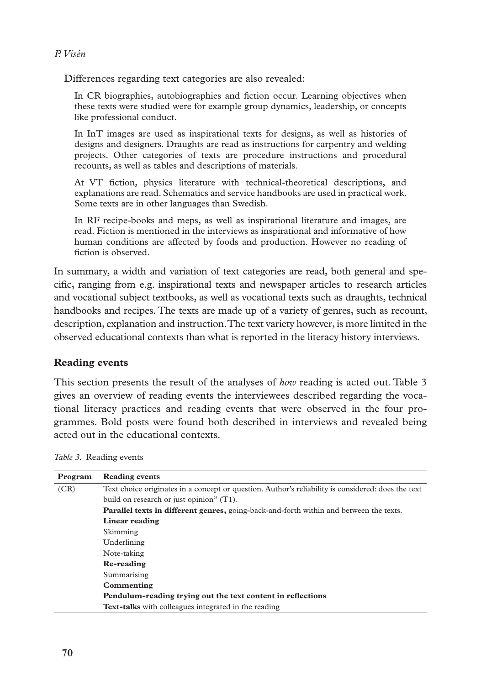Differences regarding text categories are also revealed:

In CR biographies, autobiographies and fiction occur. Learning objectives when these texts were studied were for example group dynamics, leadership, or concepts like professional conduct.

In InT images are used as inspirational texts for designs, as well as histories of designs and designers. Draughts are read as instructions for carpentry and welding projects. Other categories of texts are procedure instructions and procedural recounts, as well as tables and descriptions of materials.

At VT fiction, physics literature with technical-theoretical descriptions, and explanations are read. Schematics and service handbooks are used in practical work. Some texts are in other languages than Swedish.

In RF recipe-books and meps, as well as inspirational literature and images, are read. Fiction is mentioned in the interviews as inspirational and informative of how human conditions are affected by foods and production. However no reading of fiction is observed.

In summary, a width and variation of text categories are read, both general and specific, ranging from e.g. inspirational texts and newspaper articles to research articles and vocational subject textbooks, as well as vocational texts such as draughts, technical handbooks and recipes. The texts are made up of a variety of genres, such as recount, description, explanation and instruction. The text variety however, is more limited in the observed educational contexts than what is reported in the literacy history interviews.

## **Reading events**

This section presents the result of the analyses of *how* reading is acted out. Table 3 gives an overview of reading events the interviewees described regarding the vocational literacy practices and reading events that were observed in the four programmes. Bold posts were found both described in interviews and revealed being acted out in the educational contexts.

| Program | Reading events                                                                                     |
|---------|----------------------------------------------------------------------------------------------------|
| (CR)    | Text choice originates in a concept or question. Author's reliability is considered: does the text |
|         | build on research or just opinion" $(T1)$ .                                                        |
|         | <b>Parallel texts in different genres, going-back-and-forth within and between the texts.</b>      |
|         | Linear reading                                                                                     |
|         | Skimming                                                                                           |
|         | Underlining                                                                                        |
|         | Note-taking                                                                                        |
|         | Re-reading                                                                                         |
|         | Summarising                                                                                        |
|         | Commenting                                                                                         |
|         | Pendulum-reading trying out the text content in reflections                                        |
|         | <b>Text-talks</b> with colleagues integrated in the reading                                        |

*Table 3.* Reading events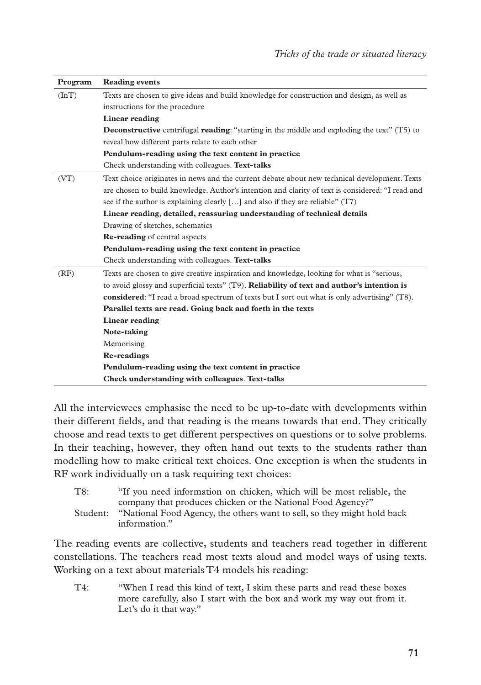| Program | <b>Reading events</b>                                                                                        |
|---------|--------------------------------------------------------------------------------------------------------------|
| (InT)   | Texts are chosen to give ideas and build knowledge for construction and design, as well as                   |
|         | instructions for the procedure                                                                               |
|         | Linear reading                                                                                               |
|         | <b>Deconstructive</b> centrifugal <b>reading</b> : "starting in the middle and exploding the text" $(T5)$ to |
|         | reveal how different parts relate to each other                                                              |
|         | Pendulum-reading using the text content in practice                                                          |
|         | Check understanding with colleagues. Text-talks                                                              |
| (VT)    | Text choice originates in news and the current debate about new technical development. Texts                 |
|         | are chosen to build knowledge. Author's intention and clarity of text is considered: "I read and             |
|         | see if the author is explaining clearly [] and also if they are reliable" $(T7)$                             |
|         | Linear reading, detailed, reassuring understanding of technical details                                      |
|         | Drawing of sketches, schematics                                                                              |
|         | Re-reading of central aspects                                                                                |
|         | Pendulum-reading using the text content in practice                                                          |
|         | Check understanding with colleagues. Text-talks                                                              |
| (RF)    | Texts are chosen to give creative inspiration and knowledge, looking for what is "serious,                   |
|         | to avoid glossy and superficial texts" $(T9)$ . Reliability of text and author's intention is                |
|         | considered: "I read a broad spectrum of texts but I sort out what is only advertising" (T8).                 |
|         | Parallel texts are read. Going back and forth in the texts                                                   |
|         | <b>Linear reading</b>                                                                                        |
|         | Note-taking                                                                                                  |
|         | Memorising                                                                                                   |
|         | <b>Re-readings</b>                                                                                           |
|         | Pendulum-reading using the text content in practice                                                          |
|         | Check understanding with colleagues. Text-talks                                                              |

All the interviewees emphasise the need to be up-to-date with developments within their different fields, and that reading is the means towards that end. They critically choose and read texts to get different perspectives on questions or to solve problems. In their teaching, however, they often hand out texts to the students rather than modelling how to make critical text choices. One exception is when the students in RF work individually on a task requiring text choices:

| T8:      | "If you need information on chicken, which will be most reliable, the   |
|----------|-------------------------------------------------------------------------|
|          | company that produces chicken or the National Food Agency?"             |
| Student: | "National Food Agency, the others want to sell, so they might hold back |
|          | information."                                                           |

The reading events are collective, students and teachers read together in different constellations. The teachers read most texts aloud and model ways of using texts. Working on a text about materials T4 models his reading:

T4: "When I read this kind of text, I skim these parts and read these boxes more carefully, also I start with the box and work my way out from it. Let's do it that way."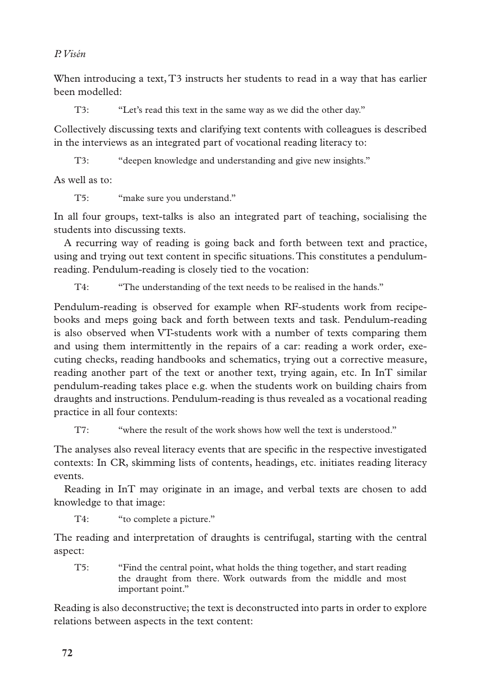When introducing a text, T3 instructs her students to read in a way that has earlier been modelled:

T3: "Let's read this text in the same way as we did the other day."

Collectively discussing texts and clarifying text contents with colleagues is described in the interviews as an integrated part of vocational reading literacy to:

T3: "deepen knowledge and understanding and give new insights."

As well as to:

T5: "make sure you understand."

In all four groups, text-talks is also an integrated part of teaching, socialising the students into discussing texts.

A recurring way of reading is going back and forth between text and practice, using and trying out text content in specific situations. This constitutes a pendulumreading. Pendulum-reading is closely tied to the vocation:

T4: "The understanding of the text needs to be realised in the hands."

Pendulum-reading is observed for example when RF-students work from recipebooks and meps going back and forth between texts and task. Pendulum-reading is also observed when VT-students work with a number of texts comparing them and using them intermittently in the repairs of a car: reading a work order, executing checks, reading handbooks and schematics, trying out a corrective measure, reading another part of the text or another text, trying again, etc. In InT similar pendulum-reading takes place e.g. when the students work on building chairs from draughts and instructions. Pendulum-reading is thus revealed as a vocational reading practice in all four contexts:

T7: "where the result of the work shows how well the text is understood."

The analyses also reveal literacy events that are specific in the respective investigated contexts: In CR, skimming lists of contents, headings, etc. initiates reading literacy events.

Reading in InT may originate in an image, and verbal texts are chosen to add knowledge to that image:

T4: "to complete a picture."

The reading and interpretation of draughts is centrifugal, starting with the central aspect:

T5: "Find the central point, what holds the thing together, and start reading the draught from there. Work outwards from the middle and most important point."

Reading is also deconstructive; the text is deconstructed into parts in order to explore relations between aspects in the text content: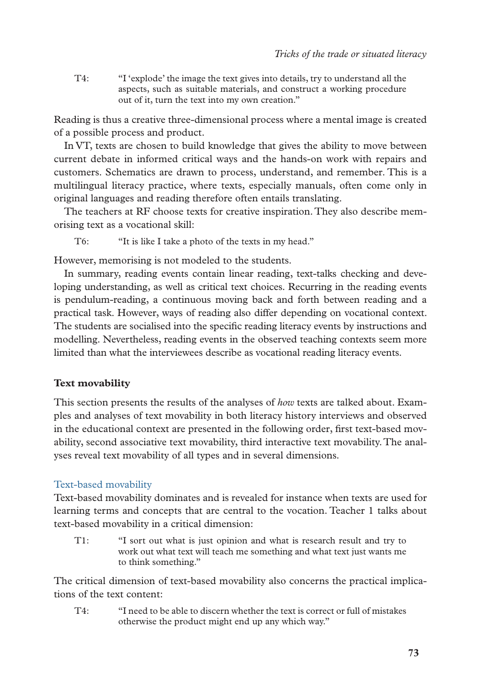T4: "I 'explode' the image the text gives into details, try to understand all the aspects, such as suitable materials, and construct a working procedure out of it, turn the text into my own creation."

Reading is thus a creative three-dimensional process where a mental image is created of a possible process and product.

In VT, texts are chosen to build knowledge that gives the ability to move between current debate in informed critical ways and the hands-on work with repairs and customers. Schematics are drawn to process, understand, and remember. This is a multilingual literacy practice, where texts, especially manuals, often come only in original languages and reading therefore often entails translating.

The teachers at RF choose texts for creative inspiration. They also describe memorising text as a vocational skill:

T6: "It is like I take a photo of the texts in my head."

However, memorising is not modeled to the students.

In summary, reading events contain linear reading, text-talks checking and developing understanding, as well as critical text choices. Recurring in the reading events is pendulum-reading, a continuous moving back and forth between reading and a practical task. However, ways of reading also differ depending on vocational context. The students are socialised into the specific reading literacy events by instructions and modelling. Nevertheless, reading events in the observed teaching contexts seem more limited than what the interviewees describe as vocational reading literacy events.

## **Text movability**

This section presents the results of the analyses of *how* texts are talked about. Examples and analyses of text movability in both literacy history interviews and observed in the educational context are presented in the following order, first text-based movability, second associative text movability, third interactive text movability. The analyses reveal text movability of all types and in several dimensions.

## Text-based movability

Text-based movability dominates and is revealed for instance when texts are used for learning terms and concepts that are central to the vocation. Teacher 1 talks about text-based movability in a critical dimension:

T1: "I sort out what is just opinion and what is research result and try to work out what text will teach me something and what text just wants me to think something."

The critical dimension of text-based movability also concerns the practical implications of the text content:

T4: "I need to be able to discern whether the text is correct or full of mistakes otherwise the product might end up any which way."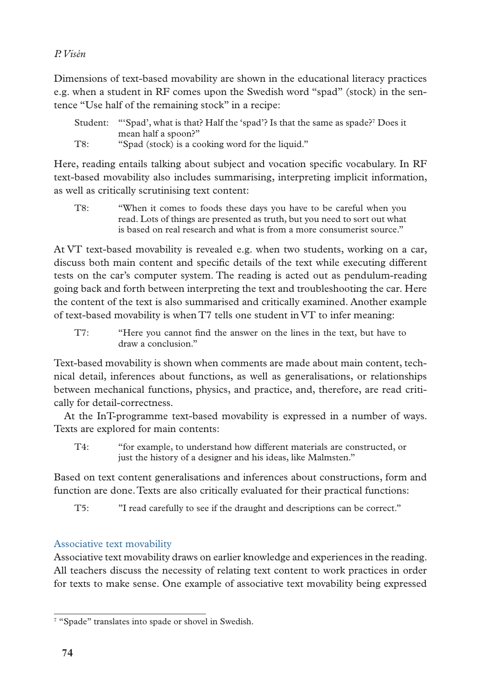Dimensions of text-based movability are shown in the educational literacy practices e.g. when a student in RF comes upon the Swedish word "spad" (stock) in the sentence "Use half of the remaining stock" in a recipe:

| Student: | "Spad', what is that? Half the 'spad'? Is that the same as spade?" Does it |
|----------|----------------------------------------------------------------------------|
|          | mean half a spoon?"                                                        |
| T8:      | "Spad (stock) is a cooking word for the liquid."                           |

Here, reading entails talking about subject and vocation specific vocabulary. In RF text-based movability also includes summarising, interpreting implicit information, as well as critically scrutinising text content:

T8: "When it comes to foods these days you have to be careful when you read. Lots of things are presented as truth, but you need to sort out what is based on real research and what is from a more consumerist source."

At VT text-based movability is revealed e.g. when two students, working on a car, discuss both main content and specific details of the text while executing different tests on the car's computer system. The reading is acted out as pendulum-reading going back and forth between interpreting the text and troubleshooting the car. Here the content of the text is also summarised and critically examined. Another example of text-based movability is when T7 tells one student in VT to infer meaning:

T7: "Here you cannot find the answer on the lines in the text, but have to draw a conclusion."

Text-based movability is shown when comments are made about main content, technical detail, inferences about functions, as well as generalisations, or relationships between mechanical functions, physics, and practice, and, therefore, are read critically for detail-correctness.

At the InT-programme text-based movability is expressed in a number of ways. Texts are explored for main contents:

T4: "for example, to understand how different materials are constructed, or just the history of a designer and his ideas, like Malmsten."

Based on text content generalisations and inferences about constructions, form and function are done. Texts are also critically evaluated for their practical functions:

T5: "I read carefully to see if the draught and descriptions can be correct."

# Associative text movability

Associative text movability draws on earlier knowledge and experiences in the reading. All teachers discuss the necessity of relating text content to work practices in order for texts to make sense. One example of associative text movability being expressed

<sup>&</sup>lt;sup>7</sup> "Spade" translates into spade or shovel in Swedish.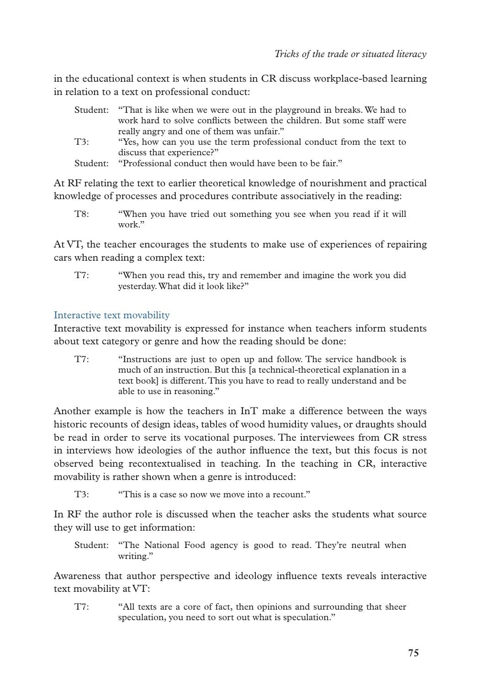in the educational context is when students in CR discuss workplace-based learning in relation to a text on professional conduct:

|     | Student: "That is like when we were out in the playground in breaks. We had to |
|-----|--------------------------------------------------------------------------------|
|     | work hard to solve conflicts between the children. But some staff were         |
|     | really angry and one of them was unfair."                                      |
| T3: | "Yes, how can you use the term professional conduct from the text to           |
|     | discuss that experience?"                                                      |
|     | Student: "Professional conduct then would have been to be fair."               |

At RF relating the text to earlier theoretical knowledge of nourishment and practical knowledge of processes and procedures contribute associatively in the reading:

T8: "When you have tried out something you see when you read if it will work"

At VT, the teacher encourages the students to make use of experiences of repairing cars when reading a complex text:

T7: "When you read this, try and remember and imagine the work you did yesterday. What did it look like?"

## Interactive text movability

Interactive text movability is expressed for instance when teachers inform students about text category or genre and how the reading should be done:

T7: "Instructions are just to open up and follow. The service handbook is much of an instruction. But this [a technical-theoretical explanation in a text book] is different. This you have to read to really understand and be able to use in reasoning."

Another example is how the teachers in InT make a difference between the ways historic recounts of design ideas, tables of wood humidity values, or draughts should be read in order to serve its vocational purposes. The interviewees from CR stress in interviews how ideologies of the author influence the text, but this focus is not observed being recontextualised in teaching. In the teaching in CR, interactive movability is rather shown when a genre is introduced:

T3: "This is a case so now we move into a recount."

In RF the author role is discussed when the teacher asks the students what source they will use to get information:

Student: "The National Food agency is good to read. They're neutral when writing."

Awareness that author perspective and ideology influence texts reveals interactive text movability at VT:

T7: "All texts are a core of fact, then opinions and surrounding that sheer speculation, you need to sort out what is speculation."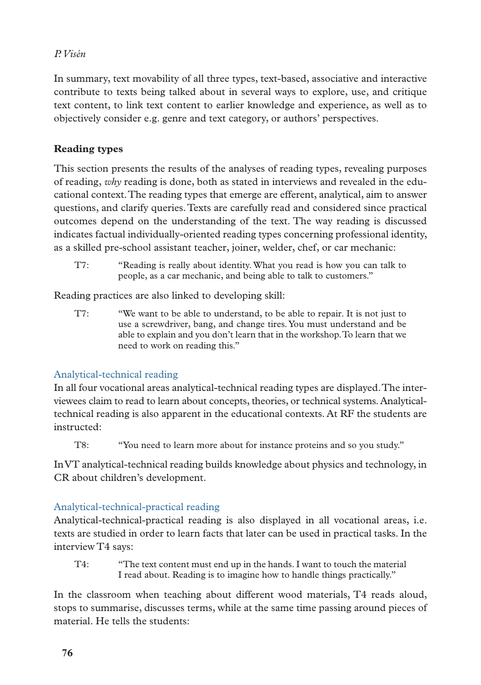In summary, text movability of all three types, text-based, associative and interactive contribute to texts being talked about in several ways to explore, use, and critique text content, to link text content to earlier knowledge and experience, as well as to objectively consider e.g. genre and text category, or authors' perspectives.

# **Reading types**

This section presents the results of the analyses of reading types, revealing purposes of reading, *why* reading is done, both as stated in interviews and revealed in the educational context. The reading types that emerge are efferent, analytical, aim to answer questions, and clarify queries. Texts are carefully read and considered since practical outcomes depend on the understanding of the text. The way reading is discussed indicates factual individually-oriented reading types concerning professional identity, as a skilled pre-school assistant teacher, joiner, welder, chef, or car mechanic:

T7: "Reading is really about identity. What you read is how you can talk to people, as a car mechanic, and being able to talk to customers."

Reading practices are also linked to developing skill:

T7: "We want to be able to understand, to be able to repair. It is not just to use a screwdriver, bang, and change tires. You must understand and be able to explain and you don't learn that in the workshop. To learn that we need to work on reading this."

# Analytical-technical reading

In all four vocational areas analytical-technical reading types are displayed. The interviewees claim to read to learn about concepts, theories, or technical systems. Analyticaltechnical reading is also apparent in the educational contexts. At RF the students are instructed:

T8: "You need to learn more about for instance proteins and so you study."

In VT analytical-technical reading builds knowledge about physics and technology, in CR about children's development.

# Analytical-technical-practical reading

Analytical-technical-practical reading is also displayed in all vocational areas, i.e. texts are studied in order to learn facts that later can be used in practical tasks. In the interview T4 says:

T4: "The text content must end up in the hands. I want to touch the material I read about. Reading is to imagine how to handle things practically."

In the classroom when teaching about different wood materials, T4 reads aloud, stops to summarise, discusses terms, while at the same time passing around pieces of material. He tells the students: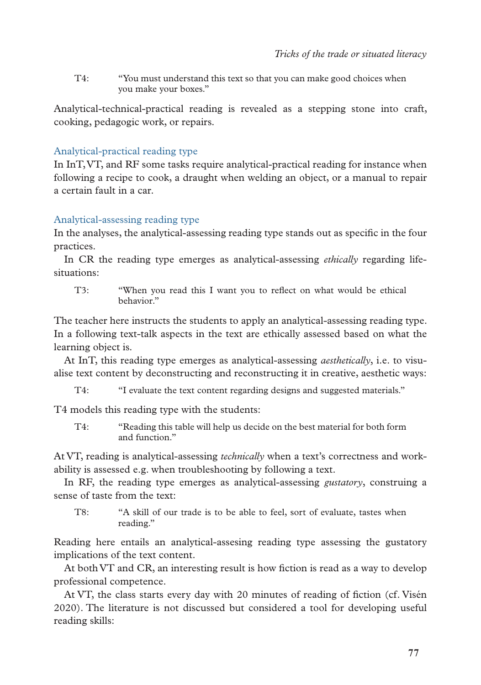T4: "You must understand this text so that you can make good choices when you make your boxes."

Analytical-technical-practical reading is revealed as a stepping stone into craft, cooking, pedagogic work, or repairs.

## Analytical-practical reading type

In InT, VT, and RF some tasks require analytical-practical reading for instance when following a recipe to cook, a draught when welding an object, or a manual to repair a certain fault in a car.

#### Analytical-assessing reading type

In the analyses, the analytical-assessing reading type stands out as specific in the four practices.

In CR the reading type emerges as analytical-assessing *ethically* regarding lifesituations:

T3: "When you read this I want you to reflect on what would be ethical behavior."

The teacher here instructs the students to apply an analytical-assessing reading type. In a following text-talk aspects in the text are ethically assessed based on what the learning object is.

At InT, this reading type emerges as analytical-assessing *aesthetically*, i.e. to visualise text content by deconstructing and reconstructing it in creative, aesthetic ways:

T4: "I evaluate the text content regarding designs and suggested materials."

T4 models this reading type with the students:

T4: "Reading this table will help us decide on the best material for both form and function."

At VT, reading is analytical-assessing *technically* when a text's correctness and workability is assessed e.g. when troubleshooting by following a text.

In RF, the reading type emerges as analytical-assessing *gustatory*, construing a sense of taste from the text:

T8: "A skill of our trade is to be able to feel, sort of evaluate, tastes when reading."

Reading here entails an analytical-assesing reading type assessing the gustatory implications of the text content.

At both VT and CR, an interesting result is how fiction is read as a way to develop professional competence.

At VT, the class starts every day with 20 minutes of reading of fiction (cf. Visén 2020). The literature is not discussed but considered a tool for developing useful reading skills: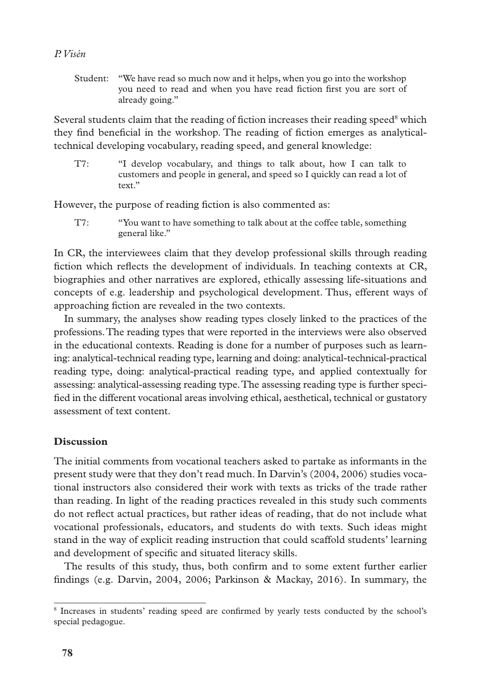Student: "We have read so much now and it helps, when you go into the workshop you need to read and when you have read fiction first you are sort of already going."

Several students claim that the reading of fiction increases their reading speed<sup>8</sup> which they find beneficial in the workshop. The reading of fiction emerges as analyticaltechnical developing vocabulary, reading speed, and general knowledge:

T7: "I develop vocabulary, and things to talk about, how I can talk to customers and people in general, and speed so I quickly can read a lot of text."

However, the purpose of reading fiction is also commented as:

T7: "You want to have something to talk about at the coffee table, something general like."

In CR, the interviewees claim that they develop professional skills through reading fiction which reflects the development of individuals. In teaching contexts at CR, biographies and other narratives are explored, ethically assessing life-situations and concepts of e.g. leadership and psychological development. Thus, efferent ways of approaching fiction are revealed in the two contexts.

In summary, the analyses show reading types closely linked to the practices of the professions. The reading types that were reported in the interviews were also observed in the educational contexts. Reading is done for a number of purposes such as learning: analytical-technical reading type, learning and doing: analytical-technical-practical reading type, doing: analytical-practical reading type, and applied contextually for assessing: analytical-assessing reading type. The assessing reading type is further specified in the different vocational areas involving ethical, aesthetical, technical or gustatory assessment of text content.

## **Discussion**

The initial comments from vocational teachers asked to partake as informants in the present study were that they don't read much. In Darvin's (2004, 2006) studies vocational instructors also considered their work with texts as tricks of the trade rather than reading. In light of the reading practices revealed in this study such comments do not reflect actual practices, but rather ideas of reading, that do not include what vocational professionals, educators, and students do with texts. Such ideas might stand in the way of explicit reading instruction that could scaffold students' learning and development of specific and situated literacy skills.

The results of this study, thus, both confirm and to some extent further earlier findings (e.g. Darvin, 2004, 2006; Parkinson & Mackay, 2016). In summary, the

<sup>8</sup> Increases in students' reading speed are confirmed by yearly tests conducted by the school's special pedagogue.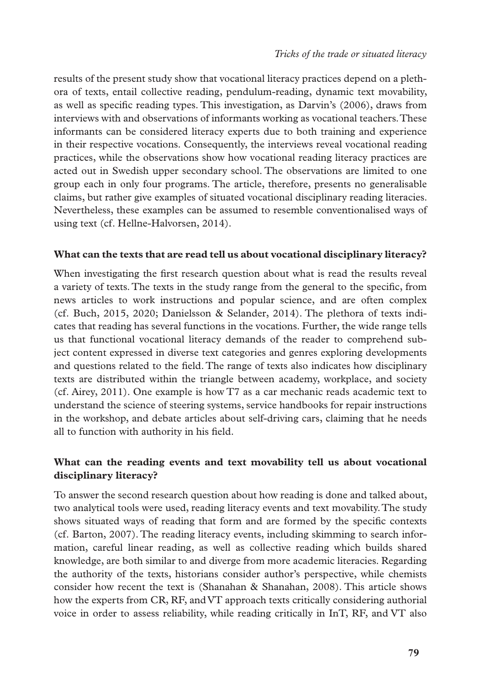results of the present study show that vocational literacy practices depend on a plethora of texts, entail collective reading, pendulum-reading, dynamic text movability, as well as specific reading types. This investigation, as Darvin's (2006), draws from interviews with and observations of informants working as vocational teachers. These informants can be considered literacy experts due to both training and experience in their respective vocations. Consequently, the interviews reveal vocational reading practices, while the observations show how vocational reading literacy practices are acted out in Swedish upper secondary school. The observations are limited to one group each in only four programs. The article, therefore, presents no generalisable claims, but rather give examples of situated vocational disciplinary reading literacies. Nevertheless, these examples can be assumed to resemble conventionalised ways of using text (cf. Hellne-Halvorsen, 2014).

## **What can the texts that are read tell us about vocational disciplinary literacy?**

When investigating the first research question about what is read the results reveal a variety of texts. The texts in the study range from the general to the specific, from news articles to work instructions and popular science, and are often complex (cf. Buch, 2015, 2020; Danielsson & Selander, 2014). The plethora of texts indicates that reading has several functions in the vocations. Further, the wide range tells us that functional vocational literacy demands of the reader to comprehend subject content expressed in diverse text categories and genres exploring developments and questions related to the field. The range of texts also indicates how disciplinary texts are distributed within the triangle between academy, workplace, and society (cf. Airey, 2011). One example is how T7 as a car mechanic reads academic text to understand the science of steering systems, service handbooks for repair instructions in the workshop, and debate articles about self-driving cars, claiming that he needs all to function with authority in his field.

## **What can the reading events and text movability tell us about vocational disciplinary literacy?**

To answer the second research question about how reading is done and talked about, two analytical tools were used, reading literacy events and text movability. The study shows situated ways of reading that form and are formed by the specific contexts (cf. Barton, 2007). The reading literacy events, including skimming to search information, careful linear reading, as well as collective reading which builds shared knowledge, are both similar to and diverge from more academic literacies. Regarding the authority of the texts, historians consider author's perspective, while chemists consider how recent the text is (Shanahan & Shanahan, 2008). This article shows how the experts from CR, RF, and VT approach texts critically considering authorial voice in order to assess reliability, while reading critically in InT, RF, and VT also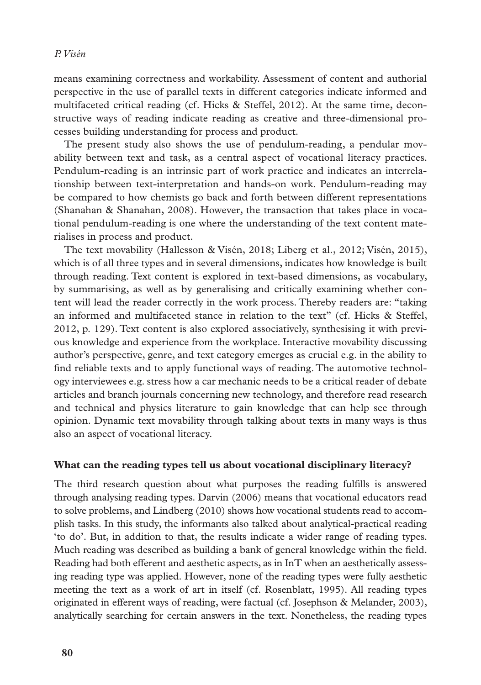means examining correctness and workability. Assessment of content and authorial perspective in the use of parallel texts in different categories indicate informed and multifaceted critical reading (cf. Hicks & Steffel, 2012). At the same time, deconstructive ways of reading indicate reading as creative and three-dimensional processes building understanding for process and product.

The present study also shows the use of pendulum-reading, a pendular movability between text and task, as a central aspect of vocational literacy practices. Pendulum-reading is an intrinsic part of work practice and indicates an interrelationship between text-interpretation and hands-on work. Pendulum-reading may be compared to how chemists go back and forth between different representations (Shanahan & Shanahan, 2008). However, the transaction that takes place in vocational pendulum-reading is one where the understanding of the text content materialises in process and product.

The text movability (Hallesson & Visén, 2018; Liberg et al., 2012; Visén, 2015), which is of all three types and in several dimensions, indicates how knowledge is built through reading. Text content is explored in text-based dimensions, as vocabulary, by summarising, as well as by generalising and critically examining whether content will lead the reader correctly in the work process. Thereby readers are: "taking an informed and multifaceted stance in relation to the text" (cf. Hicks & Steffel, 2012, p. 129). Text content is also explored associatively, synthesising it with previous knowledge and experience from the workplace. Interactive movability discussing author's perspective, genre, and text category emerges as crucial e.g. in the ability to find reliable texts and to apply functional ways of reading. The automotive technology interviewees e.g. stress how a car mechanic needs to be a critical reader of debate articles and branch journals concerning new technology, and therefore read research and technical and physics literature to gain knowledge that can help see through opinion. Dynamic text movability through talking about texts in many ways is thus also an aspect of vocational literacy.

#### **What can the reading types tell us about vocational disciplinary literacy?**

The third research question about what purposes the reading fulfills is answered through analysing reading types. Darvin (2006) means that vocational educators read to solve problems, and Lindberg (2010) shows how vocational students read to accomplish tasks. In this study, the informants also talked about analytical-practical reading 'to do'. But, in addition to that, the results indicate a wider range of reading types. Much reading was described as building a bank of general knowledge within the field. Reading had both efferent and aesthetic aspects, as in InT when an aesthetically assessing reading type was applied. However, none of the reading types were fully aesthetic meeting the text as a work of art in itself (cf. Rosenblatt, 1995). All reading types originated in efferent ways of reading, were factual (cf. Josephson & Melander, 2003), analytically searching for certain answers in the text. Nonetheless, the reading types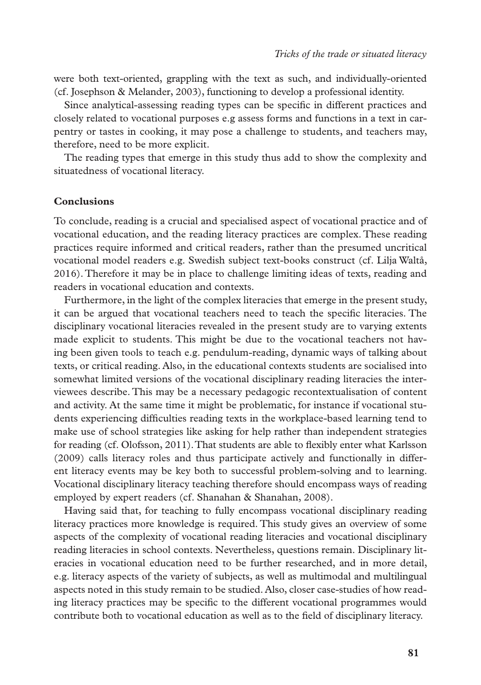were both text-oriented, grappling with the text as such, and individually-oriented (cf. Josephson & Melander, 2003), functioning to develop a professional identity.

Since analytical-assessing reading types can be specific in different practices and closely related to vocational purposes e.g assess forms and functions in a text in carpentry or tastes in cooking, it may pose a challenge to students, and teachers may, therefore, need to be more explicit.

The reading types that emerge in this study thus add to show the complexity and situatedness of vocational literacy.

#### **Conclusions**

To conclude, reading is a crucial and specialised aspect of vocational practice and of vocational education, and the reading literacy practices are complex. These reading practices require informed and critical readers, rather than the presumed uncritical vocational model readers e.g. Swedish subject text-books construct (cf. Lilja Waltå, 2016). Therefore it may be in place to challenge limiting ideas of texts, reading and readers in vocational education and contexts.

Furthermore, in the light of the complex literacies that emerge in the present study, it can be argued that vocational teachers need to teach the specific literacies. The disciplinary vocational literacies revealed in the present study are to varying extents made explicit to students. This might be due to the vocational teachers not having been given tools to teach e.g. pendulum-reading, dynamic ways of talking about texts, or critical reading. Also, in the educational contexts students are socialised into somewhat limited versions of the vocational disciplinary reading literacies the interviewees describe. This may be a necessary pedagogic recontextualisation of content and activity. At the same time it might be problematic, for instance if vocational students experiencing difficulties reading texts in the workplace-based learning tend to make use of school strategies like asking for help rather than independent strategies for reading (cf. Olofsson, 2011). That students are able to flexibly enter what Karlsson (2009) calls literacy roles and thus participate actively and functionally in different literacy events may be key both to successful problem-solving and to learning. Vocational disciplinary literacy teaching therefore should encompass ways of reading employed by expert readers (cf. Shanahan & Shanahan, 2008).

Having said that, for teaching to fully encompass vocational disciplinary reading literacy practices more knowledge is required. This study gives an overview of some aspects of the complexity of vocational reading literacies and vocational disciplinary reading literacies in school contexts. Nevertheless, questions remain. Disciplinary literacies in vocational education need to be further researched, and in more detail, e.g. literacy aspects of the variety of subjects, as well as multimodal and multilingual aspects noted in this study remain to be studied. Also, closer case-studies of how reading literacy practices may be specific to the different vocational programmes would contribute both to vocational education as well as to the field of disciplinary literacy.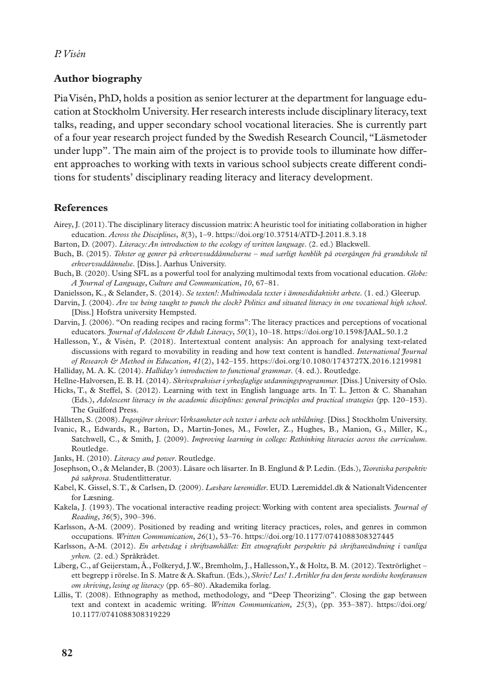#### **Author biography**

Pia Visén, PhD, holds a position as senior lecturer at the department for language education at Stockholm University. Her research interests include disciplinary literacy, text talks, reading, and upper secondary school vocational literacies. She is currently part of a four year research project funded by the Swedish Research Council, "Läsmetoder under lupp". The main aim of the project is to provide tools to illuminate how different approaches to working with texts in various school subjects create different conditions for students' disciplinary reading literacy and literacy development.

#### **References**

Airey, J. (2011). The disciplinary literacy discussion matrix: A heuristic tool for initiating collaboration in higher education. *Across the Disciplines*, *8*(3), 1–9. https://doi.org/10.37514/ATD-J.2011.8.3.18

Barton, D. (2007). *Literacy: An introduction to the ecology of written language*. (2. ed.) Blackwell.

- Buch, B. (2015). *Tekster og genrer på erhvervsuddånnelserne med særligt henblik på overgången frå grundskole til erhvervsuddånnelse*. [Diss.]. Aarhus University.
- Buch, B. (2020). Using SFL as a powerful tool for analyzing multimodal texts from vocational education. *Globe: A Journal of Language, Culture and Communication*, *10*, 67–81.

Danielsson, K., & Selander, S. (2014). *Se texten!: Multimodala texter i ämnesdidaktiskt arbete*. (1. ed.) Gleerup.

- Darvin, J. (2004). *Are we being taught to punch the clock? Politics and situated literacy in one vocational high school*. [Diss.] Hofstra university Hempsted.
- Darvin, J. (2006). "On reading recipes and racing forms": The literacy practices and perceptions of vocational educators*. Journal of Adolescent & Adult Literacy*, *50*(1), 10–18. https://doi.org/10.1598/JAAL.50.1.2

Hallesson, Y., & Visén, P. (2018). Intertextual content analysis: An approach for analysing text-related discussions with regard to movability in reading and how text content is handled. *International Journal of Research & Method in Education*, *41*(2), 142–155. https://doi.org/10.1080/1743727X.2016.1219981

Halliday, M. A. K. (2014). *Halliday's introduction to functional grammar*. (4. ed.). Routledge.

Hellne-Halvorsen, E. B. H. (2014). *Skrivepraksiser i yrkesfaglige utdanningsprogrammer.* [Diss.] University of Oslo.

- Hicks, T., & Steffel, S. (2012). Learning with text in English language arts. In T. L. Jetton & C. Shanahan (Eds.), *Adolescent literacy in the academic disciplines: general principles and practical strategies* (pp. 120–153). The Guilford Press.
- Hållsten, S. (2008). *Ingenjörer skriver: Verksamheter och texter i arbete och utbildning*. [Diss.] Stockholm University.
- Ivanic, R., Edwards, R., Barton, D., Martin-Jones, M., Fowler, Z., Hughes, B., Manion, G., Miller, K., Satchwell, C., & Smith, J. (2009). *Improving learning in college: Rethinking literacies across the curriculum*. Routledge.

Janks, H. (2010). *Literacy and power*. Routledge.

- Josephson, O., & Melander, B. (2003). Läsare och läsarter. In B. Englund & P. Ledin. (Eds.), *Teoretiska perspektiv på sakprosa*. Studentlitteratur.
- Kabel, K. Gissel, S. T., & Carlsen, D. (2009). *Læsbare læremidler*. EUD. Læremiddel.dk & Nationalt Videncenter for Læsning.
- Kakela, J. (1993). The vocational interactive reading project: Working with content area specialists. *Journal of Reading*, *36*(5), 390–396.
- Karlsson, A-M. (2009). Positioned by reading and writing literacy practices, roles, and genres in common occupations. *Written Communication*, *26*(1), 53–76. https://doi.org/10.1177/0741088308327445
- Karlsson, A-M. (2012). *En arbetsdag i skriftsamhället: Ett etnografiskt perspektiv på skriftanvändning i vanliga yrken.* (2. ed.) Språkrådet.
- Liberg, C., af Geijerstam, Å., Folkeryd, J. W., Bremholm, J., Hallesson, Y., & Holtz, B. M. (2012). Textrörlighet ett begrepp i rörelse. In S. Matre & A. Skaftun. (Eds.), *Skriv! Les! 1. Artikler fra den første nordiske konferansen om skriving, lesing og literacy* (pp. 65–80). Akademika forlag.
- Lillis, T. (2008). Ethnography as method, methodology, and "Deep Theorizing". Closing the gap between text and context in academic writing. *Written Communication, 25*(3), (pp. 353–387). [https://doi.org/](https://doi.org/10.1177/0741088308319229) [10.1177/0741088308319229](https://doi.org/10.1177/0741088308319229)